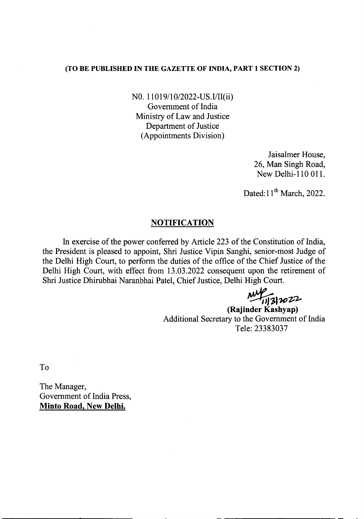## (TO BE PUBLISHED IN THE GAZETTE OF INDIA, PART 1 SECTION 2)

NO. 11019/10/2022-US.I/II(ii) Government of India Ministry of Law and Justice Department of Justice (Appointments Division)

> Jaisalmer House, 26, Man Singh Road, New Delhi-ll0 011.

Dated:  $11<sup>th</sup> March$ , 2022.

## **NOTIFICATION**

In exercise of the power conferred by Article 223 of the Constitution of India, the President is pleased to appoint, Shri Justice Vipin Sanghi, senior-most Judge of the Delhi High Court, to perform the duties of the office of the Chief Justice of the Delhi High Court, with effect from 13.03.2022 consequent upon the retirement of Shri Justice Dhirubhai Naranbhai Patel, Chief Justice, Delhi High Court.

*~)1I()-z,~*

(Rajinder Kashyap) Additional Secretary to the Government of India Tele: 23383037

To

The Manager, Government of India Press, Minto Road, New Delhi.